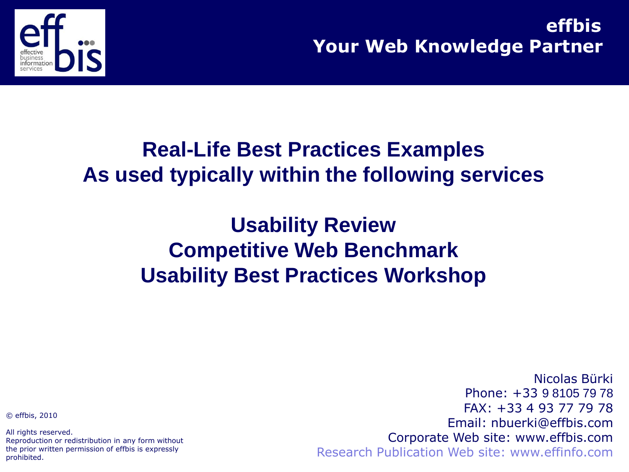

**Your Web Knowledge Partner effbis**

### **Real-Life Best Practices Examples As used typically within the following services**

### **Usability Review Competitive Web Benchmark Usability Best Practices Workshop**

© effbis, 2010

All rights reserved. Reproduction or redistribution in any form without the prior written permission of effbis is expressly prohibited.

Nicolas Bürki Phone: +33 9 8105 79 78 FAX: +33 4 93 77 79 78 Email: nbuerki@effbis.com Corporate Web site: www.effbis.com Research Publication Web site: www.effinfo.com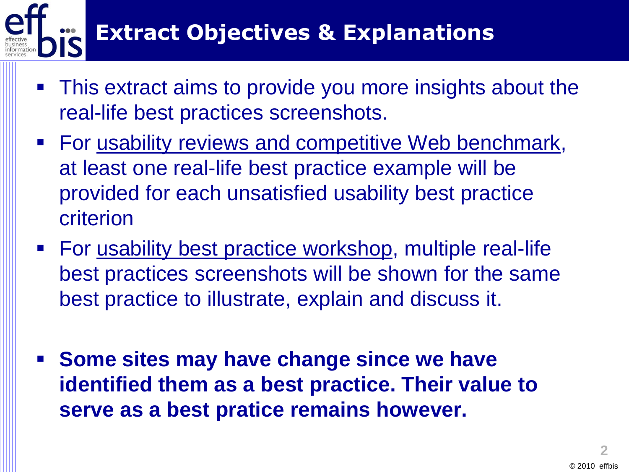

- This extract aims to provide you more insights about the real-life best practices screenshots.
- **For usability reviews and competitive Web benchmark,** at least one real-life best practice example will be provided for each unsatisfied usability best practice criterion
- For usability best practice workshop, multiple real-life best practices screenshots will be shown for the same best practice to illustrate, explain and discuss it.
- **Some sites may have change since we have identified them as a best practice. Their value to serve as a best pratice remains however.**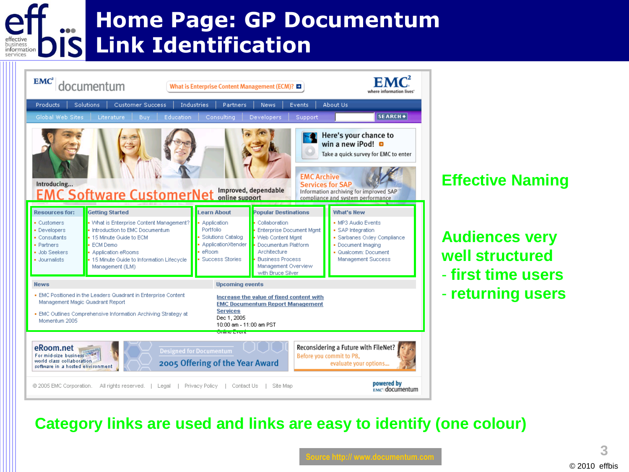#### **Home Page: GP Documentum Link Identification** pusines informa



#### **Effective Naming**

**Audiences very well structured** - **first time users** - **returning users**

#### **Category links are used and links are easy to identify (one colour)**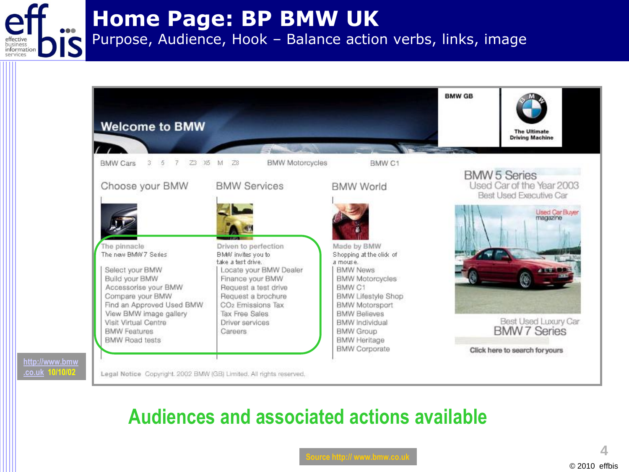**Home Page: BP BMW UK** 

pusiness informat Purpose, Audience, Hook – Balance action verbs, links, image



### **Audiences and associated actions available**

**4**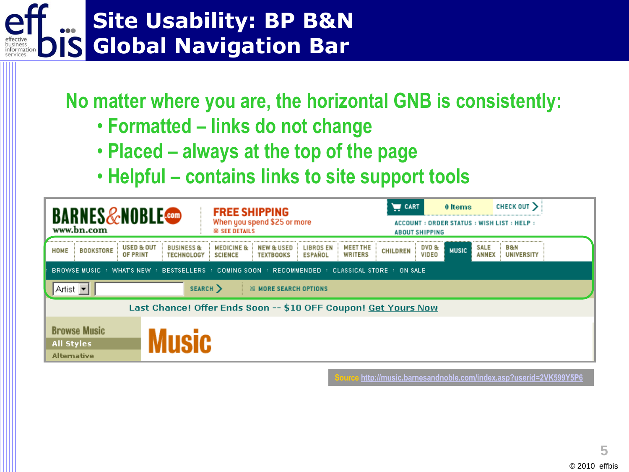# **Site Usability: BP B&N Global Navigation Bar**

**No matter where you are, the horizontal GNB is consistently:**

- **Formatted – links do not change**
- **Placed – always at the top of the page**
- **Helpful – contains links to site support tools**

| <b>BARNES&amp;NOBLE</b><br>www.bn.com                                                                       | <b>FREE SHIPPING</b><br>When you spend \$25 or more<br><b>SEE DETAILS</b>                                                                                               | <b>WE</b> CART<br>0 Items<br>ACCOUNT: ORDER STATUS: WISH LIST: HELP:<br><b>ABOUT SHIPPING</b> | CHECK OUT >         |  |  |  |  |  |
|-------------------------------------------------------------------------------------------------------------|-------------------------------------------------------------------------------------------------------------------------------------------------------------------------|-----------------------------------------------------------------------------------------------|---------------------|--|--|--|--|--|
| <b>USED &amp; OUT</b><br><b>BUSINESS &amp;</b><br><b>BOOKSTORE</b><br>HOME<br>OF PRINT<br><b>TECHNOLOGY</b> | MEET THE<br><b>LIBROS EN</b><br><b>MEDICINE &amp;</b><br><b>NEW &amp; USED</b><br>WRITERS<br><b>ESPANOL</b><br><b>TEXTBOOKS</b><br><b>SCIENCE</b>                       | DVD &<br><b>SALE</b><br><b>MUSIC</b><br><b>CHILDREN</b><br>VIDEO<br>ANNEX                     | B & N<br>UNIVERSITY |  |  |  |  |  |
|                                                                                                             | BROWSE MUSIC $\rightarrow$ WHAT'S NEW $\rightarrow$ BESTSELLERS $\rightarrow$ COMING SOON $\rightarrow$ RECOMMENDED $\rightarrow$ Classical store $\rightarrow$ on sale |                                                                                               |                     |  |  |  |  |  |
| Artist <b>v</b><br>SEARCH >                                                                                 | <b>888 MORE SEARCH OPTIONS</b>                                                                                                                                          |                                                                                               |                     |  |  |  |  |  |
| Last Chance! Offer Ends Soon -- \$10 OFF Coupon! Get Yours Now                                              |                                                                                                                                                                         |                                                                                               |                     |  |  |  |  |  |
| <b>Browse Music</b><br>AIISIC<br><b>All Styles</b><br><b>Alternative</b>                                    |                                                                                                                                                                         |                                                                                               |                     |  |  |  |  |  |

**Source<http://music.barnesandnoble.com/index.asp?userid=2VK599Y5P6>**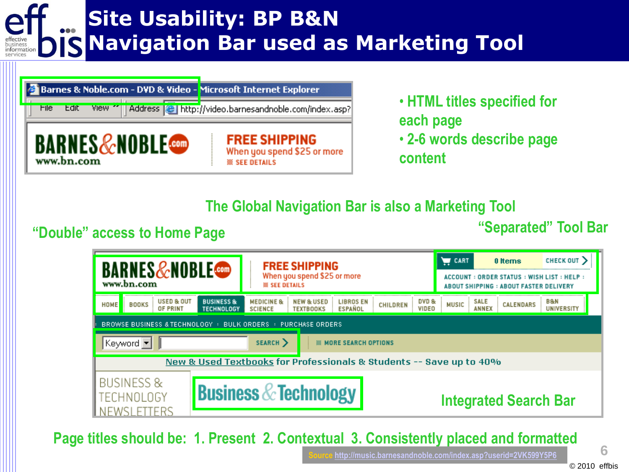# **Site Usability: BP B&N Navigation Bar used as Marketing Tool**

| Barnes & Noble.com - DVD & Video - Microsoft Internet Explorer |                                                                              |
|----------------------------------------------------------------|------------------------------------------------------------------------------|
| File<br>View.<br>Edit                                          | Address <b>&amp;</b> http://video.barnesandnoble.com/index.asp?              |
| $\blacksquare$ .com<br>www.bn.com                              | <b>FREE SHIPPING</b><br>When you spend \$25 or more<br><b>88 SEE DETAILS</b> |

• **HTML titles specified for each page** • **2-6 words describe page** 

**content**

#### **The Global Navigation Bar is also a Marketing Tool**

#### **"Double" access to Home Page**

**"Separated" Tool Bar**

| <b>BARNES&amp;NOBLE</b><br>www.bn.com                                                                                                                                   | <b>FREE SHIPPING</b><br>When you spend \$25 or more<br><b>SEE DETAILS</b>                                           |                                   | CART                                 | 0 Items<br>ACCOUNT: ORDER STATUS: WISH LIST: HELP:<br><b>ABOUT SHIPPING: ABOUT FASTER DELIVERY</b> | CHECK OUT                |
|-------------------------------------------------------------------------------------------------------------------------------------------------------------------------|---------------------------------------------------------------------------------------------------------------------|-----------------------------------|--------------------------------------|----------------------------------------------------------------------------------------------------|--------------------------|
| <b>USED &amp; OUT</b><br><b>BUSINESS &amp;</b><br><b>BOOKS</b><br>HOME<br><b>TECHNOLOGY</b><br>OF PRINT<br>BROWSE BUSINESS & TECHNOLOGY : BULK ORDERS : PURCHASE ORDERS | <b>MEDICINE &amp;</b><br><b>NEW &amp; USED</b><br><b>LIBROS EN</b><br><b>SCIENCE</b><br><b>ESPANOL</b><br>TEXTBOOKS | DVD &<br><b>CHILDREN</b><br>VIDEO | <b>SALE</b><br><b>MUSIC</b><br>ANNEX | <b>CALENDARS</b>                                                                                   | B&N<br><b>UNIVERSITY</b> |
| Keyword  ▼                                                                                                                                                              | SEARCH ><br><b>MORE SEARCH OPTIONS</b>                                                                              |                                   |                                      |                                                                                                    |                          |
|                                                                                                                                                                         | New & Used Textbooks for Professionals & Students -- Save up to 40%                                                 |                                   |                                      |                                                                                                    |                          |
| BUSINESS &<br>CHNOLOGY                                                                                                                                                  | <b>Business &amp; Technology</b>                                                                                    |                                   |                                      | <b>Integrated Search Bar</b>                                                                       |                          |

**Page titles should be: 1. Present 2. Contextual 3. Consistently placed and formatted**

**6**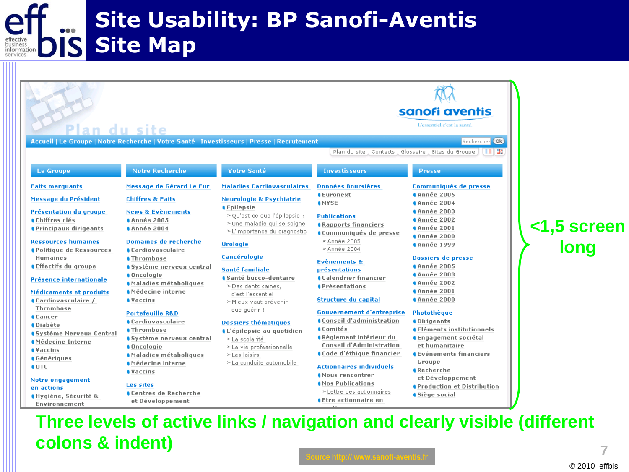#### **Site Usability: BP Sanofi-Aventis Site Map DIS**

|                                                                                                                                                                                                                                                                                                                                                                                                                                                                                                                                  | n du site                                                                                                                                                                                                                                                                                                                                                                                                                                                                                                                                           | Accueil   Le Groupe   Notre Recherche   Votre Santé   Investisseurs   Presse   Recrutement                                                                                                                                                                                                                                                                                                                                                                   | Plan du site , Contacts , Glossaire , Sites du Groupe                                                                                                                                                                                                                                                                                                                                                                                                                                                                                            | sanofi aventis<br>L'essentiel c'est la santé.<br>Rechercher Ok<br>I EIG                                                                                                                                                                                                                                                                                                                                                                                                                                 |                             |
|----------------------------------------------------------------------------------------------------------------------------------------------------------------------------------------------------------------------------------------------------------------------------------------------------------------------------------------------------------------------------------------------------------------------------------------------------------------------------------------------------------------------------------|-----------------------------------------------------------------------------------------------------------------------------------------------------------------------------------------------------------------------------------------------------------------------------------------------------------------------------------------------------------------------------------------------------------------------------------------------------------------------------------------------------------------------------------------------------|--------------------------------------------------------------------------------------------------------------------------------------------------------------------------------------------------------------------------------------------------------------------------------------------------------------------------------------------------------------------------------------------------------------------------------------------------------------|--------------------------------------------------------------------------------------------------------------------------------------------------------------------------------------------------------------------------------------------------------------------------------------------------------------------------------------------------------------------------------------------------------------------------------------------------------------------------------------------------------------------------------------------------|---------------------------------------------------------------------------------------------------------------------------------------------------------------------------------------------------------------------------------------------------------------------------------------------------------------------------------------------------------------------------------------------------------------------------------------------------------------------------------------------------------|-----------------------------|
| <b>Le Groupe</b>                                                                                                                                                                                                                                                                                                                                                                                                                                                                                                                 | <b>Notre Recherche</b>                                                                                                                                                                                                                                                                                                                                                                                                                                                                                                                              | Votre Santé                                                                                                                                                                                                                                                                                                                                                                                                                                                  | <b>Investisseurs</b>                                                                                                                                                                                                                                                                                                                                                                                                                                                                                                                             | <b>Presse</b>                                                                                                                                                                                                                                                                                                                                                                                                                                                                                           |                             |
| <b>Faits marquants</b>                                                                                                                                                                                                                                                                                                                                                                                                                                                                                                           | Message de Gérard Le Fur                                                                                                                                                                                                                                                                                                                                                                                                                                                                                                                            | <b>Maladies Cardiovasculaires</b>                                                                                                                                                                                                                                                                                                                                                                                                                            | <b>Données Boursières</b>                                                                                                                                                                                                                                                                                                                                                                                                                                                                                                                        | Communiqués de presse                                                                                                                                                                                                                                                                                                                                                                                                                                                                                   |                             |
| Message du Président                                                                                                                                                                                                                                                                                                                                                                                                                                                                                                             | <b>Chiffres &amp; Faits</b>                                                                                                                                                                                                                                                                                                                                                                                                                                                                                                                         | <b>Neurologie &amp; Psychiatrie</b>                                                                                                                                                                                                                                                                                                                                                                                                                          | <b>C</b> Euronext<br><b>ANYSE</b>                                                                                                                                                                                                                                                                                                                                                                                                                                                                                                                | <b>Année 2005</b><br><b>Année 2004</b>                                                                                                                                                                                                                                                                                                                                                                                                                                                                  |                             |
| Présentation du groupe<br>Chiffres clés<br><b><i><u>A</u></i></b> Principaux dirigeants<br><b>Ressources humaines</b><br><b>OPolitique de Ressources</b><br><b>Humaines</b><br><b>C</b> Effectifs du groupe<br>Présence internationale<br>Médicaments et produits<br>Cardiovasculaire /<br>Thrombose<br><b>Cancer</b><br><b>O</b> Diabète<br><b><i><u>A</u></i></b> Système Nerveux Central<br><b>AMédecine Interne</b><br><b><i><u>AVaccins</u></i></b><br><b>Génériques</b><br>$\bullet$ OTC<br>Notre engagement<br>en actions | <b>News &amp; Evènements</b><br><b>Année 2005</b><br><b>Année 2004</b><br><b>Domaines de recherche</b><br><b>A</b> Cardiovasculaire<br><b>A</b> Thrombose<br>● Système nerveux central<br><b>Oncologie</b><br>Maladies métaboliques<br>Médecine interne<br><i><u><b>A</b>Vaccins</u></i><br><b>Portefeuille R&amp;D</b><br><b>Cardiovasculaire</b><br><b>A</b> Thrombose<br>● Système nerveux central<br>Oncologie<br>Maladies métaboliques<br>Médecine interne<br><b><i><u>AVaccins</u></i></b><br><b>Les sites</b><br><b>Centres de Recherche</b> | <b>C</b> epilepsie<br>> Qu'est-ce que l'épilepsie ?<br>> Une maladie qui se soigne<br>> L'importance du diagnostic<br><b>Urologie</b><br>Cancérologie<br>Santé familiale<br><b>Santé bucco-dentaire</b><br>> Des dents saines,<br>c'est l'essentiel<br>> Mieux vaut prévenir<br>que guérir !<br><b>Dossiers thématiques</b><br><b>IL'épilepsie au quotidien</b><br>> La scolarité<br>> La vie professionnelle<br>$>$ Les loisirs<br>> La conduite automobile | <b>Publications</b><br><b>A</b> Rapports financiers<br>Communiqués de presse<br>> Année 2005<br>> Année 2004<br><b>Evènements &amp;</b><br>présentations<br><b>Calendrier financier</b><br><b>A</b> Présentations<br>Structure du capital<br><b>Gouvernement d'entreprise</b><br><b>Conseil d'administration</b><br><b>Comités</b><br><b>A</b> Règlement intérieur du<br><b>Conseil d'Administration</b><br>Code d'éthique financier<br><b>Actionnaires individuels</b><br>Nous rencontrer<br>Nos Publications<br>$\geq$ Lettre des actionnaires | <b>Année 2003</b><br><b>Année 2002</b><br><b>Année 2001</b><br><b>Année 2000</b><br><b>Année 1999</b><br>Dossiers de presse<br><b>Année 2005</b><br><b>Année 2003</b><br><b>Année 2002</b><br><b>Année 2001</b><br><b>Année 2000</b><br>Photothèque<br><b>Oirigeants</b><br><b>Cléments institutionnels</b><br><b>Consequent Sociétal</b><br>et humanitaire<br><b>CEVénements financiers</b><br>Groupe<br><b>A</b> Recherche<br>et Développement<br><b>A</b> Production et Distribution<br>Siège social | <1,5 screen<br>'       long |

#### **Three levels of active links / navigation and clearly visible (different colons & indent)**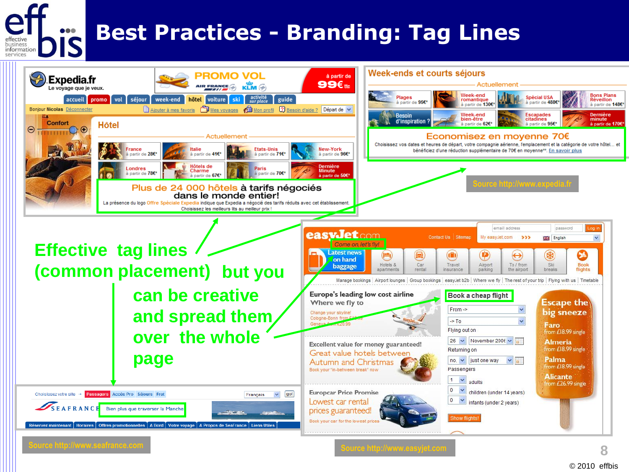# **Best Practices - Branding: Tag Lines**

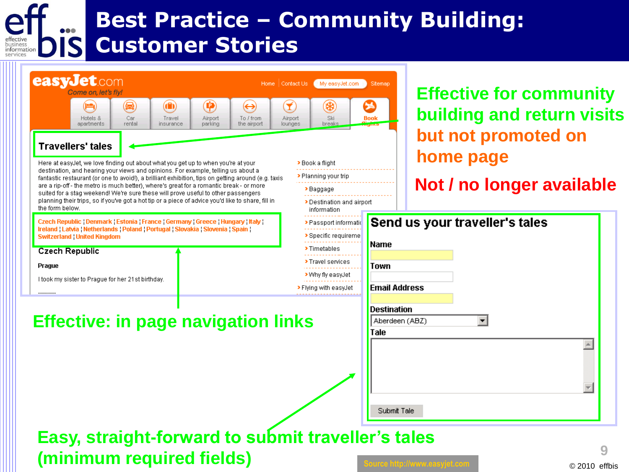## **Best Practice – Community Building: Customer Stories**

|                 | come on, let's fly!                                                                                                                                                      |                    |                                   |                         |                                                                                                     |                         |                                                    |                      | <b>Effective for community</b> |
|-----------------|--------------------------------------------------------------------------------------------------------------------------------------------------------------------------|--------------------|-----------------------------------|-------------------------|-----------------------------------------------------------------------------------------------------|-------------------------|----------------------------------------------------|----------------------|--------------------------------|
|                 | Hotels &<br>apartments                                                                                                                                                   | Q<br>Car<br>rental | $\bf{(f)}$<br>Travel<br>insurance | 9<br>Airport<br>parking | $\leftrightarrow$<br>To / from<br>the airport                                                       | I<br>Airport<br>lounges | ₩<br>Ski<br>breaks                                 | Book                 | building and return visits     |
|                 |                                                                                                                                                                          |                    |                                   |                         |                                                                                                     |                         |                                                    |                      | but not promoted on            |
|                 | <b>Travellers' tales</b>                                                                                                                                                 |                    |                                   |                         |                                                                                                     |                         |                                                    |                      | home page                      |
|                 | Here at easyJet, we love finding out about what you get up to when you're at your<br>destination, and hearing your views and opinions. For example, telling us about a   |                    |                                   |                         |                                                                                                     |                         | > Book a flight<br>> Planning your trip            |                      |                                |
|                 | are a rip-off-the metro is much better), where's great for a romantic break-or more<br>suited for a stag weekend! We're sure these will prove useful to other passengers |                    |                                   |                         | fantastic restaurant (or one to avoid!), a brilliant exhibition, tips on getting around (e.g. taxis |                         | ≯Baggage                                           |                      | Not / no longer available      |
| the form below. |                                                                                                                                                                          |                    |                                   |                         | planning their trips, so if you've got a hot tip or a piece of advice you'd like to share, fill in  |                         | Destination and airport<br>information             |                      |                                |
|                 | Czech Republic   Denmark   Estonia   France   Germany   Greece   Hungary   Italy                                                                                         |                    |                                   |                         |                                                                                                     |                         | > Passport informatio                              |                      | Send us your traveller's tales |
|                 | Ireland   Latvia   Netherlands   Poland   Portugal   Slovakia   Slovenia   Spain  <br><b>Switzerland United Kingdom</b>                                                  |                    |                                   |                         |                                                                                                     |                         | > Specific requireme                               |                      |                                |
|                 | <b>Czech Republic</b>                                                                                                                                                    |                    |                                   |                         |                                                                                                     |                         | > Timetables                                       | <b>Name</b>          |                                |
| Prague          |                                                                                                                                                                          |                    |                                   |                         |                                                                                                     |                         | > Travel services<br>> Why fly easyJet             | Town                 |                                |
|                 | I took my sister to Praque for her 21st birthday.                                                                                                                        |                    |                                   |                         |                                                                                                     |                         | > Flying with easyJet                              | <b>Email Address</b> |                                |
| ----------      |                                                                                                                                                                          |                    |                                   |                         |                                                                                                     |                         |                                                    |                      |                                |
|                 |                                                                                                                                                                          |                    |                                   |                         | <b>Effective: in page navigation links</b>                                                          |                         |                                                    | <b>Destination</b>   | Aberdeen (ABZ)                 |
|                 |                                                                                                                                                                          |                    |                                   |                         |                                                                                                     |                         |                                                    | Tale                 |                                |
|                 |                                                                                                                                                                          |                    |                                   |                         |                                                                                                     |                         |                                                    |                      |                                |
|                 |                                                                                                                                                                          |                    |                                   |                         |                                                                                                     |                         |                                                    |                      |                                |
|                 |                                                                                                                                                                          |                    |                                   |                         |                                                                                                     |                         |                                                    |                      | ÷                              |
|                 |                                                                                                                                                                          |                    |                                   |                         |                                                                                                     |                         |                                                    |                      |                                |
|                 |                                                                                                                                                                          |                    |                                   |                         |                                                                                                     |                         |                                                    |                      |                                |
|                 |                                                                                                                                                                          |                    |                                   |                         |                                                                                                     |                         |                                                    | Submit Tale          |                                |
|                 |                                                                                                                                                                          |                    |                                   |                         |                                                                                                     |                         |                                                    |                      |                                |
|                 | (minimum required fields)                                                                                                                                                |                    |                                   |                         |                                                                                                     |                         | Easy, straight-forward to submit traveller's tales |                      |                                |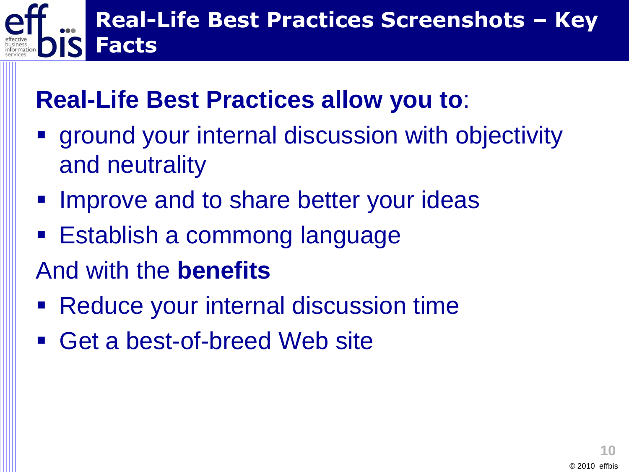# **Real-Life Best Practices Screenshots – Key Facts**

### **Real-Life Best Practices allow you to**:

- ground your internal discussion with objectivity and neutrality
- **IMPROVE and to share better your ideas**
- Establish a commong language
- And with the **benefits**
- Reduce your internal discussion time
- Get a best-of-breed Web site